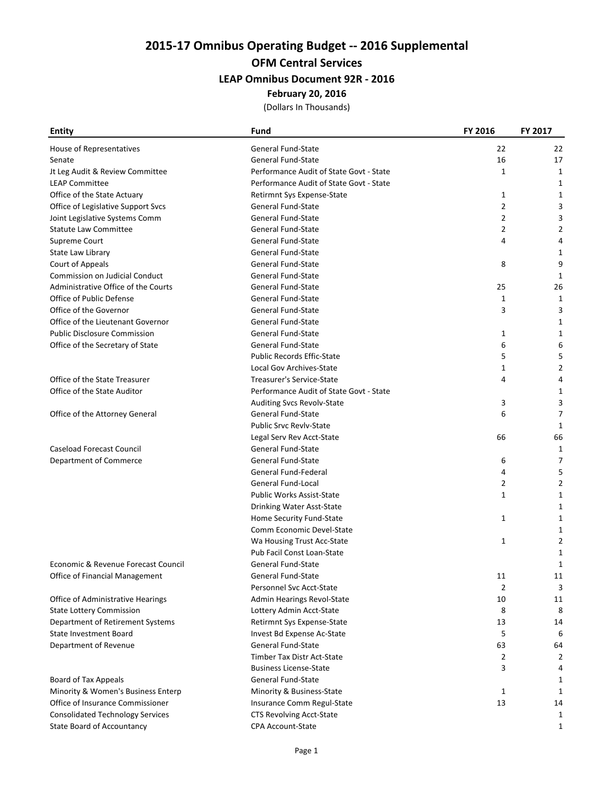2015-17 Omnibus Operating Budget -- 2016 Supplemental

# OFM Central Services

## LEAP Omnibus Document 92R - 2016

#### February 20, 2016

(Dollars In Thousands)

| <b>Entity</b>                           | <b>Fund</b>                             | FY 2016        | FY 2017        |
|-----------------------------------------|-----------------------------------------|----------------|----------------|
| House of Representatives                | <b>General Fund-State</b>               | 22             | 22             |
| Senate                                  | <b>General Fund-State</b>               | 16             | 17             |
| Jt Leg Audit & Review Committee         | Performance Audit of State Govt - State | 1              | 1              |
| <b>LEAP Committee</b>                   | Performance Audit of State Govt - State |                | 1              |
| Office of the State Actuary             | Retirmnt Sys Expense-State              | 1              | 1              |
| Office of Legislative Support Svcs      | <b>General Fund-State</b>               | $\overline{2}$ | 3              |
| Joint Legislative Systems Comm          | <b>General Fund-State</b>               | $\overline{2}$ | 3              |
| <b>Statute Law Committee</b>            | <b>General Fund-State</b>               | $\overline{2}$ | 2              |
| Supreme Court                           | General Fund-State                      | 4              | 4              |
| State Law Library                       | <b>General Fund-State</b>               |                | 1              |
| Court of Appeals                        | <b>General Fund-State</b>               | 8              | 9              |
| <b>Commission on Judicial Conduct</b>   | <b>General Fund-State</b>               |                | 1              |
| Administrative Office of the Courts     | <b>General Fund-State</b>               | 25             | 26             |
| Office of Public Defense                | <b>General Fund-State</b>               | 1              | 1              |
| Office of the Governor                  | <b>General Fund-State</b>               | 3              | 3              |
| Office of the Lieutenant Governor       | <b>General Fund-State</b>               |                | 1              |
| <b>Public Disclosure Commission</b>     | General Fund-State                      | 1              | 1              |
| Office of the Secretary of State        | General Fund-State                      | 6              | 6              |
|                                         | <b>Public Records Effic-State</b>       | 5              | 5              |
|                                         | Local Gov Archives-State                | 1              | $\overline{2}$ |
| Office of the State Treasurer           | Treasurer's Service-State               | 4              | 4              |
| Office of the State Auditor             | Performance Audit of State Govt - State |                | 1              |
|                                         | Auditing Svcs Revolv-State              | 3              | 3              |
| Office of the Attorney General          | <b>General Fund-State</b>               | 6              | 7              |
|                                         | Public Srvc Revlv-State                 |                | $\mathbf{1}$   |
|                                         | Legal Serv Rev Acct-State               | 66             | 66             |
| <b>Caseload Forecast Council</b>        | <b>General Fund-State</b>               |                | 1              |
| Department of Commerce                  | <b>General Fund-State</b>               | 6              | 7              |
|                                         | General Fund-Federal                    | 4              | 5              |
|                                         | General Fund-Local                      | 2              | 2              |
|                                         | <b>Public Works Assist-State</b>        | $\mathbf{1}$   | 1              |
|                                         | Drinking Water Asst-State               |                | 1              |
|                                         | Home Security Fund-State                | $\mathbf{1}$   | 1              |
|                                         | Comm Economic Devel-State               |                |                |
|                                         | Wa Housing Trust Acc-State              | 1              |                |
|                                         | Pub Facil Const Loan-State              |                |                |
| Economic & Revenue Forecast Council     | <b>General Fund-State</b>               |                | 1              |
| Office of Financial Management          | General Fund-State                      | 11             | 11             |
|                                         | Personnel Svc Acct-State                | 2              | 3              |
| Office of Administrative Hearings       | Admin Hearings Revol-State              | 10             | 11             |
| <b>State Lottery Commission</b>         | Lottery Admin Acct-State                | 8              | 8              |
| Department of Retirement Systems        | Retirmnt Sys Expense-State              | 13             | 14             |
| State Investment Board                  | Invest Bd Expense Ac-State              | 5              | 6              |
| Department of Revenue                   | General Fund-State                      | 63             | 64             |
|                                         | <b>Timber Tax Distr Act-State</b>       | 2              | 2              |
|                                         | <b>Business License-State</b>           | 3              | 4              |
| Board of Tax Appeals                    | General Fund-State                      |                | 1              |
| Minority & Women's Business Enterp      | Minority & Business-State               | $\mathbf{1}$   | 1              |
| Office of Insurance Commissioner        | Insurance Comm Regul-State              | 13             | 14             |
| <b>Consolidated Technology Services</b> | CTS Revolving Acct-State                |                | 1              |
| <b>State Board of Accountancy</b>       | CPA Account-State                       |                | 1              |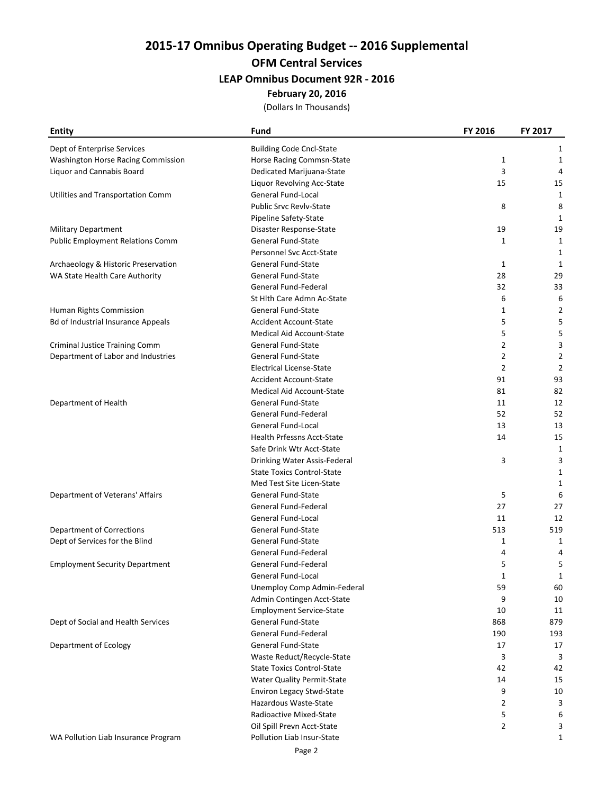2015-17 Omnibus Operating Budget -- 2016 Supplemental

# OFM Central Services

## LEAP Omnibus Document 92R - 2016

#### February 20, 2016

(Dollars In Thousands)

| <b>Entity</b>                             | Fund                              | FY 2016        | FY 2017        |
|-------------------------------------------|-----------------------------------|----------------|----------------|
| Dept of Enterprise Services               | <b>Building Code Cncl-State</b>   |                | 1              |
| Washington Horse Racing Commission        | Horse Racing Commsn-State         | 1              | 1              |
| Liquor and Cannabis Board                 | Dedicated Marijuana-State         | 3              | 4              |
|                                           | Liquor Revolving Acc-State        | 15             | 15             |
| Utilities and Transportation Comm         | General Fund-Local                |                | 1              |
|                                           | <b>Public Srvc Revlv-State</b>    | 8              | 8              |
|                                           | Pipeline Safety-State             |                | 1              |
| <b>Military Department</b>                | Disaster Response-State           | 19             | 19             |
| <b>Public Employment Relations Comm</b>   | <b>General Fund-State</b>         | 1              | 1              |
|                                           | Personnel Svc Acct-State          |                | 1              |
| Archaeology & Historic Preservation       | General Fund-State                | 1              | 1              |
| WA State Health Care Authority            | <b>General Fund-State</b>         | 28             | 29             |
|                                           | General Fund-Federal              | 32             | 33             |
|                                           | St Hlth Care Admn Ac-State        | 6              | 6              |
| Human Rights Commission                   | <b>General Fund-State</b>         | $\mathbf{1}$   | $\overline{2}$ |
| <b>Bd of Industrial Insurance Appeals</b> | <b>Accident Account-State</b>     | 5              | 5              |
|                                           | <b>Medical Aid Account-State</b>  | 5              | 5              |
| <b>Criminal Justice Training Comm</b>     | General Fund-State                | 2              | 3              |
| Department of Labor and Industries        | General Fund-State                | 2              | $\overline{2}$ |
|                                           | <b>Electrical License-State</b>   | $\overline{2}$ | $\overline{2}$ |
|                                           | <b>Accident Account-State</b>     | 91             | 93             |
|                                           | <b>Medical Aid Account-State</b>  | 81             | 82             |
| Department of Health                      | General Fund-State                | 11             | 12             |
|                                           | General Fund-Federal              | 52             | 52             |
|                                           | General Fund-Local                | 13             | 13             |
|                                           | Health Prfessns Acct-State        | 14             | 15             |
|                                           | Safe Drink Wtr Acct-State         |                | 1              |
|                                           | Drinking Water Assis-Federal      | 3              | 3              |
|                                           | <b>State Toxics Control-State</b> |                | 1              |
|                                           | Med Test Site Licen-State         |                | 1              |
| Department of Veterans' Affairs           | <b>General Fund-State</b>         | 5              | 6              |
|                                           | General Fund-Federal              | 27             | 27             |
|                                           | <b>General Fund-Local</b>         | 11             | 12             |
| Department of Corrections                 | General Fund-State                | 513            | 519            |
| Dept of Services for the Blind            | General Fund-State                | $\mathbf{1}$   | 1              |
|                                           | General Fund-Federal              | 4              | 4              |
| <b>Employment Security Department</b>     | General Fund-Federal              | 5              | 5              |
|                                           | General Fund-Local                |                |                |
|                                           | Unemploy Comp Admin-Federal       | 1<br>59        | 1<br>60        |
|                                           | Admin Contingen Acct-State        | 9              | 10             |
|                                           | <b>Employment Service-State</b>   | 10             | 11             |
| Dept of Social and Health Services        | General Fund-State                | 868            | 879            |
|                                           | General Fund-Federal              | 190            | 193            |
| Department of Ecology                     | General Fund-State                | 17             | 17             |
|                                           | Waste Reduct/Recycle-State        | 3              | 3              |
|                                           | <b>State Toxics Control-State</b> | 42             | 42             |
|                                           | <b>Water Quality Permit-State</b> | 14             | 15             |
|                                           | Environ Legacy Stwd-State         | 9              | 10             |
|                                           | Hazardous Waste-State             | 2              | 3              |
|                                           | Radioactive Mixed-State           | 5              | 6              |
|                                           | Oil Spill Prevn Acct-State        | $\overline{2}$ | 3              |
| WA Pollution Liab Insurance Program       | Pollution Liab Insur-State        |                | $\mathbf{1}$   |
|                                           |                                   |                |                |